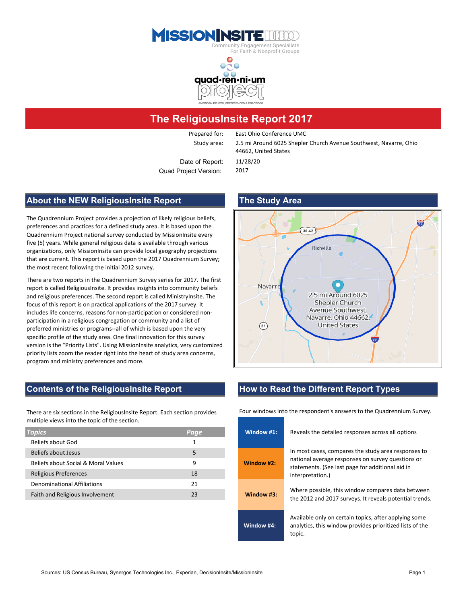



### **The ReligiousInsite Report 2017**

Prepared for: East Ohio Conference UMC

Study area: 2.5 mi Around 6025 Shepler Church Avenue Southwest, Navarre, Ohio 44662, United States

Date of Report: 11/28/20 Quad Project Version: 2017

#### **About the NEW ReligiousInsite Report The Study Area**

The Quadrennium Project provides a projection of likely religious beliefs, preferences and practices for a defined study area. It is based upon the Quadrennium Project national survey conducted by MissionInsite every five (5) years. While general religious data is available through various organizations, only MissionInsite can provide local geography projections that are current. This report is based upon the 2017 Quadrennium Survey; the most recent following the initial 2012 survey.

report is called ReligiousInsite. It provides insights into community beliefs and religious preferences. The second report is called MinistryInsite. The focus of this report is on practical applications of the 2017 survey. It includes life concerns, reasons for non-participation or considered nonparticipation in a religious congregation or community and a list of preferred ministries or programs--all of which is based upon the very specific profile of the study area. One final innovation for this survey version is the "Priority Lists". Using MissionInsite analytics, very customized priority lists zoom the reader right into the heart of study area concerns, program and ministry preferences and more.

# $30.62$ Richville Navarr 2.5 mi Around 6025 Shepler Church Avenue Southwest, Navarre, Ohio 44662, **United States**  $(21)$

There are six sections in the ReligiousInsite Report. Each section provides multiple views into the topic of the section.

| <b>Topics</b>                       | Page | Window #1:   | Reveals the detailed responses across all options                                                   |  |  |  |  |
|-------------------------------------|------|--------------|-----------------------------------------------------------------------------------------------------|--|--|--|--|
| Beliefs about God                   |      |              |                                                                                                     |  |  |  |  |
| Beliefs about Jesus                 |      |              | In most cases, compares the study area response                                                     |  |  |  |  |
| Beliefs about Social & Moral Values | 9    | Window #2:   | national average responses on survey questions<br>statements. (See last page for additional aid in  |  |  |  |  |
| <b>Religious Preferences</b>        | 18   |              | interpretation.)                                                                                    |  |  |  |  |
| <b>Denominational Affiliations</b>  | 21   |              |                                                                                                     |  |  |  |  |
| Faith and Religious Involvement     | 23   | Window $#3:$ | Where possible, this window compares data bet<br>the 2012 and 2017 surveys. It reveals potential to |  |  |  |  |
|                                     |      |              |                                                                                                     |  |  |  |  |

### **Contents of the ReligiousInsite Report How to Read the Different Report Types**

Four windows into the respondent's answers to the Quadrennium Survey.

| annone views into the topic or the section. |      |            |                                                                                                                             |  |  |  |
|---------------------------------------------|------|------------|-----------------------------------------------------------------------------------------------------------------------------|--|--|--|
| opics                                       | Page | Window #1: | Reveals the detailed responses across all options                                                                           |  |  |  |
| Beliefs about God                           |      |            |                                                                                                                             |  |  |  |
| <b>Beliefs about Jesus</b>                  | 5    |            | In most cases, compares the study area responses to                                                                         |  |  |  |
| Beliefs about Social & Moral Values         | 9    | Window #2: | national average responses on survey questions or<br>statements. (See last page for additional aid in                       |  |  |  |
| Religious Preferences                       | 18   |            | interpretation.)                                                                                                            |  |  |  |
| <b>Denominational Affiliations</b>          | 21   |            |                                                                                                                             |  |  |  |
| Faith and Religious Involvement             | 23   | Window #3: | Where possible, this window compares data between<br>the 2012 and 2017 surveys. It reveals potential trends.                |  |  |  |
|                                             |      |            |                                                                                                                             |  |  |  |
|                                             |      | Window #4: | Available only on certain topics, after applying some<br>analytics, this window provides prioritized lists of the<br>topic. |  |  |  |

## There are two reports in the Quadrennium Survey series for 2017. The first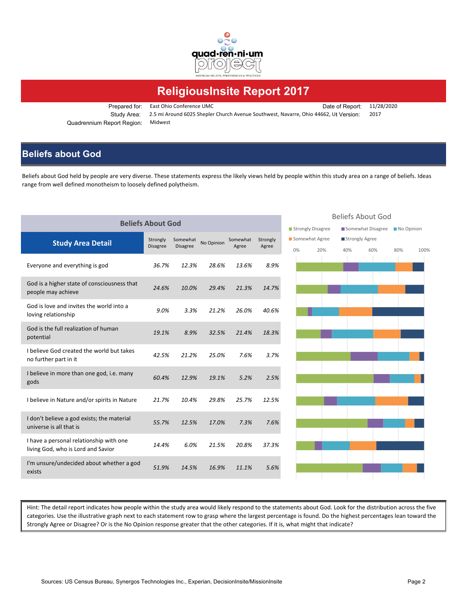

## **ReligiousInsite Report 2017**

Prepared for: East Ohio Conference UMC Date of Report: 11/28/2020 Study Area: 2.5 mi Around 6025 Shepler Church Avenue Southwest, Navarre, Ohio 44662, Ut Version: 2017 Quadrennium Report Region: Midwest

### **Beliefs about God**

Beliefs about God held by people are very diverse. These statements express the likely views held by people within this study area on a range of beliefs. Ideas range from well defined monotheism to loosely defined polytheism.

|                                                                               | <b>Beliefs About God</b> |          |            |          |          |    |                   |     | Beliefs About God |            |      |
|-------------------------------------------------------------------------------|--------------------------|----------|------------|----------|----------|----|-------------------|-----|-------------------|------------|------|
|                                                                               |                          |          |            |          |          |    | Strongly Disagree |     | Somewhat Disagree | No Opinion |      |
| <b>Study Area Detail</b>                                                      | Strongly                 | Somewhat | No Opinion | Somewhat | Strongly |    | Somewhat Agree    |     | Strongly Agree    |            |      |
|                                                                               | <b>Disagree</b>          | Disagree |            | Agree    | Agree    | 0% | 20%               | 40% | 60%               | 80%        | 100% |
| Everyone and everything is god                                                | 36.7%                    | 12.3%    | 28.6%      | 13.6%    | 8.9%     |    |                   |     |                   |            |      |
| God is a higher state of consciousness that<br>people may achieve             | 24.6%                    | 10.0%    | 29.4%      | 21.3%    | 14.7%    |    |                   |     |                   |            |      |
| God is love and invites the world into a<br>loving relationship               | 9.0%                     | 3.3%     | 21.2%      | 26.0%    | 40.6%    |    |                   |     |                   |            |      |
| God is the full realization of human<br>potential                             | 19.1%                    | 8.9%     | 32.5%      | 21.4%    | 18.3%    |    |                   |     |                   |            |      |
| I believe God created the world but takes<br>no further part in it            | 42.5%                    | 21.2%    | 25.0%      | 7.6%     | 3.7%     |    |                   |     |                   |            |      |
| I believe in more than one god, i.e. many<br>gods                             | 60.4%                    | 12.9%    | 19.1%      | 5.2%     | 2.5%     |    |                   |     |                   |            |      |
| I believe in Nature and/or spirits in Nature                                  | 21.7%                    | 10.4%    | 29.8%      | 25.7%    | 12.5%    |    |                   |     |                   |            |      |
| I don't believe a god exists; the material<br>universe is all that is         | 55.7%                    | 12.5%    | 17.0%      | 7.3%     | 7.6%     |    |                   |     |                   |            |      |
| I have a personal relationship with one<br>living God, who is Lord and Savior | 14.4%                    | 6.0%     | 21.5%      | 20.8%    | 37.3%    |    |                   |     |                   |            |      |
| I'm unsure/undecided about whether a god<br>exists                            | 51.9%                    | 14.5%    | 16.9%      | 11.1%    | 5.6%     |    |                   |     |                   |            |      |
|                                                                               |                          |          |            |          |          |    |                   |     |                   |            |      |

Hint: The detail report indicates how people within the study area would likely respond to the statements about God. Look for the distribution across the five categories. Use the illustrative graph next to each statement row to grasp where the largest percentage is found. Do the highest percentages lean toward the Strongly Agree or Disagree? Or is the No Opinion response greater that the other categories. If it is, what might that indicate?

#### Beliefs About God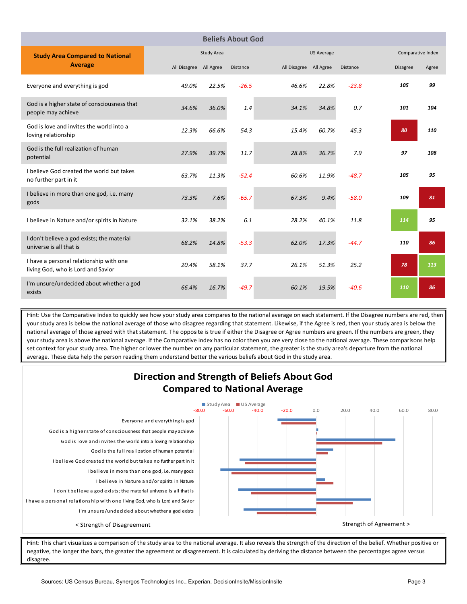| <b>Beliefs About God</b>                                                      |              |                   |          |                        |                   |                   |                 |       |  |  |
|-------------------------------------------------------------------------------|--------------|-------------------|----------|------------------------|-------------------|-------------------|-----------------|-------|--|--|
| <b>Study Area Compared to National</b>                                        |              | <b>Study Area</b> |          |                        | <b>US Average</b> | Comparative Index |                 |       |  |  |
| <b>Average</b>                                                                | All Disagree | All Agree         | Distance | All Disagree All Agree |                   | Distance          | <b>Disagree</b> | Agree |  |  |
| Everyone and everything is god                                                | 49.0%        | 22.5%             | $-26.5$  | 46.6%                  | 22.8%             | $-23.8$           | 105             | 99    |  |  |
| God is a higher state of consciousness that<br>people may achieve             | 34.6%        | 36.0%             | 1.4      | 34.1%                  | 34.8%             | 0.7               | 101             | 104   |  |  |
| God is love and invites the world into a<br>loving relationship               | 12.3%        | 66.6%             | 54.3     | 15.4%                  | 60.7%             | 45.3              | 80              | 110   |  |  |
| God is the full realization of human<br>potential                             | 27.9%        | 39.7%             | 11.7     | 28.8%                  | 36.7%             | 7.9               | 97              | 108   |  |  |
| I believe God created the world but takes<br>no further part in it            | 63.7%        | 11.3%             | $-52.4$  | 60.6%                  | 11.9%             | $-48.7$           | 105             | 95    |  |  |
| I believe in more than one god, i.e. many<br>gods                             | 73.3%        | 7.6%              | $-65.7$  | 67.3%                  | 9.4%              | $-58.0$           | 109             | 81    |  |  |
| I believe in Nature and/or spirits in Nature                                  | 32.1%        | 38.2%             | 6.1      | 28.2%                  | 40.1%             | 11.8              | 114             | 95    |  |  |
| I don't believe a god exists; the material<br>universe is all that is         | 68.2%        | 14.8%             | $-53.3$  | 62.0%                  | 17.3%             | $-44.7$           | 110             | 86    |  |  |
| I have a personal relationship with one<br>living God, who is Lord and Savior | 20.4%        | 58.1%             | 37.7     | 26.1%                  | 51.3%             | 25.2              | 78              | 113   |  |  |
| I'm unsure/undecided about whether a god<br>exists                            | 66.4%        | 16.7%             | $-49.7$  | 60.1%                  | 19.5%             | $-40.6$           | 110             | 86    |  |  |

Hint: Use the Comparative Index to quickly see how your study area compares to the national average on each statement. If the Disagree numbers are red, then your study area is below the national average of those who disagree regarding that statement. Likewise, if the Agree is red, then your study area is below the national average of those agreed with that statement. The opposite is true if either the Disagree or Agree numbers are green. If the numbers are green, they your study area is above the national average. If the Comparative Index has no color then you are very close to the national average. These comparisons help set context for your study area. The higher or lower the number on any particular statement, the greater is the study area's departure from the national average. These data help the person reading them understand better the various beliefs about God in the study area.



Hint: This chart visualizes a comparison of the study area to the national average. It also reveals the strength of the direction of the belief. Whether positive or negative, the longer the bars, the greater the agreement or disagreement. It is calculated by deriving the distance between the percentages agree versus disagree.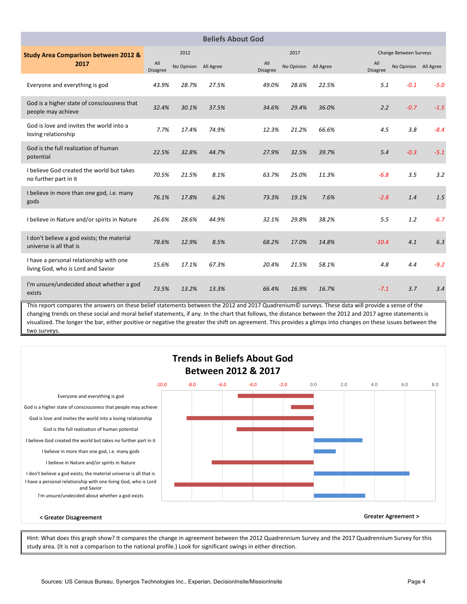|                                                                               |                        |            |           | <b>Beliefs About God</b> |            |                        |                        |                      |        |
|-------------------------------------------------------------------------------|------------------------|------------|-----------|--------------------------|------------|------------------------|------------------------|----------------------|--------|
| <b>Study Area Comparison between 2012 &amp;</b>                               |                        | 2012       |           |                          |            | Change Between Surveys |                        |                      |        |
| 2017                                                                          | All<br><b>Disagree</b> | No Opinion | All Agree | All<br><b>Disagree</b>   | No Opinion | All Agree              | All<br><b>Disagree</b> | No Opinion All Agree |        |
| Everyone and everything is god                                                | 43.9%                  | 28.7%      | 27.5%     | 49.0%                    | 28.6%      | 22.5%                  | 5.1                    | $-0.1$               | $-5.0$ |
| God is a higher state of consciousness that<br>people may achieve             | 32.4%                  | 30.1%      | 37.5%     | 34.6%                    | 29.4%      | 36.0%                  | 2.2                    | $-0.7$               | $-1.5$ |
| God is love and invites the world into a<br>loving relationship               | 7.7%                   | 17.4%      | 74.9%     | 12.3%                    | 21.2%      | 66.6%                  | 4.5                    | 3.8                  | $-8.4$ |
| God is the full realization of human<br>potential                             | 22.5%                  | 32.8%      | 44.7%     | 27.9%                    | 32.5%      | 39.7%                  | 5.4                    | $-0.3$               | $-5.1$ |
| I believe God created the world but takes<br>no further part in it            | 70.5%                  | 21.5%      | 8.1%      | 63.7%                    | 25.0%      | 11.3%                  | $-6.8$                 | 3.5                  | 3.2    |
| I believe in more than one god, i.e. many<br>gods                             | 76.1%                  | 17.8%      | 6.2%      | 73.3%                    | 19.1%      | 7.6%                   | $-2.8$                 | 1.4                  | 1.5    |
| I believe in Nature and/or spirits in Nature                                  | 26.6%                  | 28.6%      | 44.9%     | 32.1%                    | 29.8%      | 38.2%                  | 5.5                    | 1.2                  | $-6.7$ |
| I don't believe a god exists; the material<br>universe is all that is         | 78.6%                  | 12.9%      | 8.5%      | 68.2%                    | 17.0%      | 14.8%                  | $-10.4$                | 4.1                  | 6.3    |
| I have a personal relationship with one<br>living God, who is Lord and Savior | 15.6%                  | 17.1%      | 67.3%     | 20.4%                    | 21.5%      | 58.1%                  | 4.8                    | 4.4                  | $-9.2$ |
| I'm unsure/undecided about whether a god<br>exists                            | 73.5%                  | 13.2%      | 13.3%     | 66.4%                    | 16.9%      | 16.7%                  | $-7.1$                 | 3.7                  | 3.4    |

This report compares the answers on these belief statements between the 2012 and 2017 Quadrenium© surveys. These data will provide a sense of the changing trends on these social and moral belief statements, if any. In the chart that follows, the distance between the 2012 and 2017 agree statements is visualized. The longer the bar, either positive or negative the greater the shift on agreement. This provides a glimps into changes on these issues between the two surveys.



Hint: What does this graph show? It compares the change in agreement between the 2012 Quadrennium Survey and the 2017 Quadrennium Survey for this study area. (It is not a comparison to the national profile.) Look for significant swings in either direction.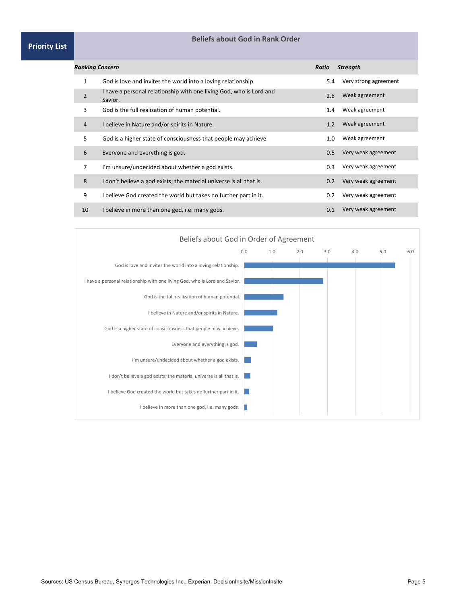#### **Priority List**

#### **Beliefs about God in Rank Order**

| Ranking Concern |                                                                                | Ratio            | <b>Strength</b>       |
|-----------------|--------------------------------------------------------------------------------|------------------|-----------------------|
| 1               | God is love and invites the world into a loving relationship.                  | 5.4              | Very strong agreement |
| $\overline{2}$  | I have a personal relationship with one living God, who is Lord and<br>Savior. | 2.8              | Weak agreement        |
| 3               | God is the full realization of human potential.                                | $1.4\phantom{0}$ | Weak agreement        |
| 4               | I believe in Nature and/or spirits in Nature.                                  | 1.2              | Weak agreement        |
| 5.              | God is a higher state of consciousness that people may achieve.                | 1.0              | Weak agreement        |
| 6               | Everyone and everything is god.                                                | 0.5              | Very weak agreement   |
| 7               | I'm unsure/undecided about whether a god exists.                               | 0.3              | Very weak agreement   |
| 8               | I don't believe a god exists; the material universe is all that is.            | 0.2              | Very weak agreement   |
| 9               | I believe God created the world but takes no further part in it.               | 0.2              | Very weak agreement   |
| 10              | I believe in more than one god, i.e. many gods.                                | 0.1              | Very weak agreement   |

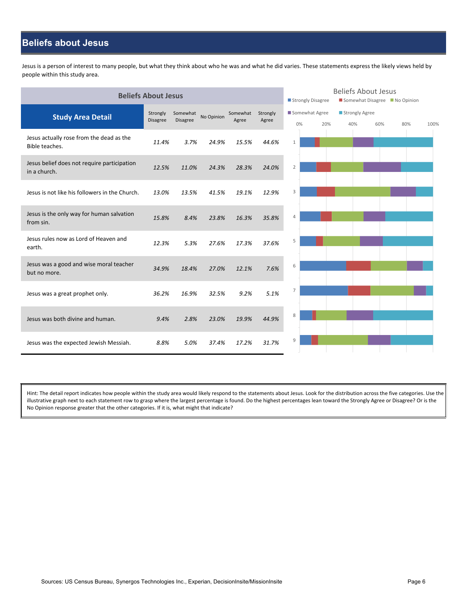### **Beliefs about Jesus**

Jesus is a person of interest to many people, but what they think about who he was and what he did varies. These statements express the likely views held by people within this study area.

|                                                             | <b>Beliefs About Jesus</b> |                             |            |                   |                   |                |                             |  | <b>Beliefs About Jesus</b><br>Somewhat Disagree No Opinion<br>Strongly Disagree |  |     |      |  |  |
|-------------------------------------------------------------|----------------------------|-----------------------------|------------|-------------------|-------------------|----------------|-----------------------------|--|---------------------------------------------------------------------------------|--|-----|------|--|--|
| <b>Study Area Detail</b>                                    | Strongly<br>Disagree       | Somewhat<br><b>Disagree</b> | No Opinion | Somewhat<br>Agree | Strongly<br>Agree |                | Somewhat Agree<br>20%<br>0% |  | Strongly Agree<br>40%<br>60%                                                    |  | 80% | 100% |  |  |
| Jesus actually rose from the dead as the<br>Bible teaches.  | 11.4%                      | 3.7%                        | 24.9%      | 15.5%             | 44.6%             | $\mathbf{1}$   |                             |  |                                                                                 |  |     |      |  |  |
| Jesus belief does not require participation<br>in a church. | 12.5%                      | 11.0%                       | 24.3%      | 28.3%             | 24.0%             | $\overline{2}$ |                             |  |                                                                                 |  |     |      |  |  |
| Jesus is not like his followers in the Church.              | 13.0%                      | 13.5%                       | 41.5%      | 19.1%             | 12.9%             | 3              |                             |  |                                                                                 |  |     |      |  |  |
| Jesus is the only way for human salvation<br>from sin.      | 15.8%                      | 8.4%                        | 23.8%      | 16.3%             | 35.8%             | $\overline{4}$ |                             |  |                                                                                 |  |     |      |  |  |
| Jesus rules now as Lord of Heaven and<br>earth.             | 12.3%                      | 5.3%                        | 27.6%      | 17.3%             | 37.6%             | 5              |                             |  |                                                                                 |  |     |      |  |  |
| Jesus was a good and wise moral teacher<br>but no more.     | 34.9%                      | 18.4%                       | 27.0%      | 12.1%             | 7.6%              | 6              |                             |  |                                                                                 |  |     |      |  |  |
| Jesus was a great prophet only.                             | 36.2%                      | 16.9%                       | 32.5%      | 9.2%              | 5.1%              | 7              |                             |  |                                                                                 |  |     |      |  |  |
| Jesus was both divine and human.                            | 9.4%                       | 2.8%                        | 23.0%      | 19.9%             | 44.9%             | 8              |                             |  |                                                                                 |  |     |      |  |  |
| Jesus was the expected Jewish Messiah.                      | 8.8%                       | 5.0%                        | 37.4%      | 17.2%             | 31.7%             | 9              |                             |  |                                                                                 |  |     |      |  |  |

Hint: The detail report indicates how people within the study area would likely respond to the statements about Jesus. Look for the distribution across the five categories. Use the illustrative graph next to each statement row to grasp where the largest percentage is found. Do the highest percentages lean toward the Strongly Agree or Disagree? Or is the No Opinion response greater that the other categories. If it is, what might that indicate?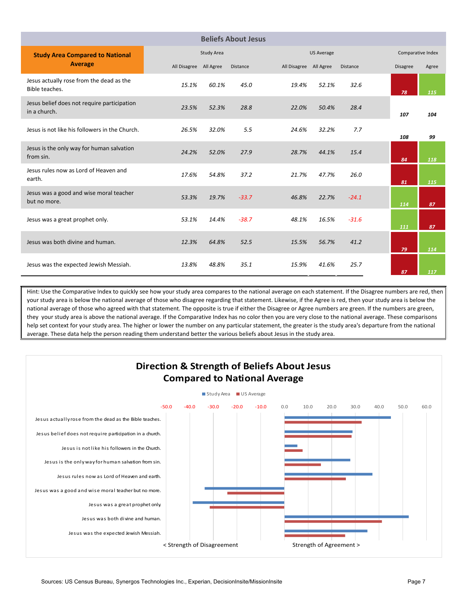|                                                             |                        |            | <b>Beliefs About Jesus</b> |                        |                   |                 |                 |       |
|-------------------------------------------------------------|------------------------|------------|----------------------------|------------------------|-------------------|-----------------|-----------------|-------|
| <b>Study Area Compared to National</b>                      |                        | Study Area |                            |                        | <b>US Average</b> |                 |                 |       |
| <b>Average</b>                                              | All Disagree All Agree |            | <b>Distance</b>            | All Disagree All Agree |                   | <b>Distance</b> | <b>Disagree</b> | Agree |
| Jesus actually rose from the dead as the<br>Bible teaches.  | 15.1%                  | 60.1%      | 45.0                       | 19.4%                  | 52.1%             | 32.6            | 78              | 115   |
| Jesus belief does not require participation<br>in a church. | 23.5%                  | 52.3%      | 28.8                       | 22.0%                  | 50.4%             | 28.4            | 107             | 104   |
| Jesus is not like his followers in the Church.              | 26.5%                  | 32.0%      | 5.5                        | 24.6%                  | 32.2%             | 7.7             | 108             | 99    |
| Jesus is the only way for human salvation<br>from sin.      | 24.2%                  | 52.0%      | 27.9                       | 28.7%                  | 44.1%             | 15.4            | 84              | 118   |
| Jesus rules now as Lord of Heaven and<br>earth.             | 17.6%                  | 54.8%      | 37.2                       | 21.7%                  | 47.7%             | 26.0            | 81              | 115   |
| Jesus was a good and wise moral teacher<br>but no more.     | 53.3%                  | 19.7%      | $-33.7$                    | 46.8%                  | 22.7%             | $-24.1$         | 114             | 87    |
| Jesus was a great prophet only.                             | 53.1%                  | 14.4%      | $-38.7$                    | 48.1%                  | 16.5%             | $-31.6$         | 111             | 87    |
| Jesus was both divine and human.                            | 12.3%                  | 64.8%      | 52.5                       | 15.5%                  | 56.7%             | 41.2            | 79              | 114   |
| Jesus was the expected Jewish Messiah.                      | 13.8%                  | 48.8%      | 35.1                       | 15.9%                  | 41.6%             | 25.7            | 87              | 117   |

Hint: Use the Comparative Index to quickly see how your study area compares to the national average on each statement. If the Disagree numbers are red, then your study area is below the national average of those who disagree regarding that statement. Likewise, if the Agree is red, then your study area is below the national average of those who agreed with that statement. The opposite is true if either the Disagree or Agree numbers are green. If the numbers are green, they your study area is above the national average. If the Comparative Index has no color then you are very close to the national average. These comparisons help set context for your study area. The higher or lower the number on any particular statement, the greater is the study area's departure from the national average. These data help the person reading them understand better the various beliefs about Jesus in the study area.

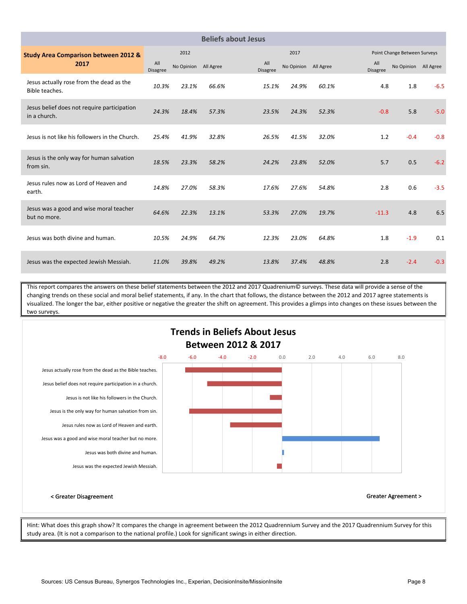|                                                             |                        |            |           | <b>Beliefs about Jesus</b> |                      |       |                        |                              |        |
|-------------------------------------------------------------|------------------------|------------|-----------|----------------------------|----------------------|-------|------------------------|------------------------------|--------|
| <b>Study Area Comparison between 2012 &amp;</b>             |                        | 2012       |           |                            | 2017                 |       |                        | Point Change Between Surveys |        |
| 2017                                                        | All<br><b>Disagree</b> | No Opinion | All Agree | All<br><b>Disagree</b>     | No Opinion All Agree |       | All<br><b>Disagree</b> | No Opinion All Agree         |        |
| Jesus actually rose from the dead as the<br>Bible teaches.  | 10.3%                  | 23.1%      | 66.6%     | 15.1%                      | 24.9%                | 60.1% | 4.8                    | 1.8                          | $-6.5$ |
| Jesus belief does not require participation<br>in a church. | 24.3%                  | 18.4%      | 57.3%     | 23.5%                      | 24.3%                | 52.3% | $-0.8$                 | 5.8                          | $-5.0$ |
| Jesus is not like his followers in the Church.              | 25.4%                  | 41.9%      | 32.8%     | 26.5%                      | 41.5%                | 32.0% | 1.2                    | $-0.4$                       | $-0.8$ |
| Jesus is the only way for human salvation<br>from sin.      | 18.5%                  | 23.3%      | 58.2%     | 24.2%                      | 23.8%                | 52.0% | 5.7                    | 0.5                          | $-6.2$ |
| Jesus rules now as Lord of Heaven and<br>earth.             | 14.8%                  | 27.0%      | 58.3%     | 17.6%                      | 27.6%                | 54.8% | 2.8                    | 0.6                          | $-3.5$ |
| Jesus was a good and wise moral teacher<br>but no more.     | 64.6%                  | 22.3%      | 13.1%     | 53.3%                      | 27.0%                | 19.7% | $-11.3$                | 4.8                          | 6.5    |
| Jesus was both divine and human.                            | 10.5%                  | 24.9%      | 64.7%     | 12.3%                      | 23.0%                | 64.8% | 1.8                    | $-1.9$                       | 0.1    |
| Jesus was the expected Jewish Messiah.                      | 11.0%                  | 39.8%      | 49.2%     | 13.8%                      | 37.4%                | 48.8% | 2.8                    | $-2.4$                       | $-0.3$ |

This report compares the answers on these belief statements between the 2012 and 2017 Quadrenium© surveys. These data will provide a sense of the changing trends on these social and moral belief statements, if any. In the chart that follows, the distance between the 2012 and 2017 agree statements is visualized. The longer the bar, either positive or negative the greater the shift on agreement. This provides a glimps into changes on these issues between the two surveys.



Hint: What does this graph show? It compares the change in agreement between the 2012 Quadrennium Survey and the 2017 Quadrennium Survey for this study area. (It is not a comparison to the national profile.) Look for significant swings in either direction.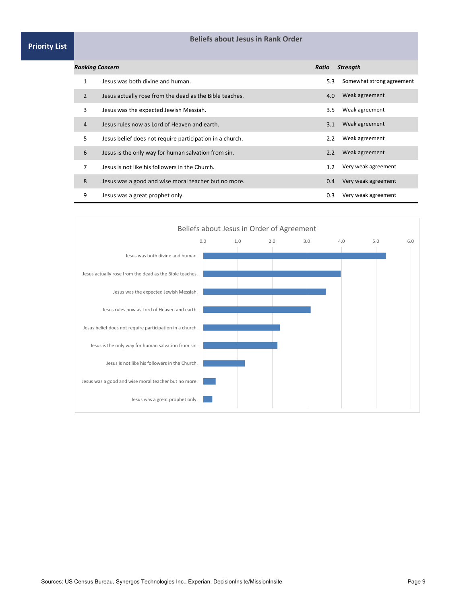#### **Beliefs about Jesus in Rank Order**

| <b>Priority List</b> |  |
|----------------------|--|
|----------------------|--|

|                | <b>Ranking Concern</b>                                   | Ratio | <b>Strength</b>           |
|----------------|----------------------------------------------------------|-------|---------------------------|
| 1              | Jesus was both divine and human.                         | 5.3   | Somewhat strong agreement |
| $\overline{2}$ | Jesus actually rose from the dead as the Bible teaches.  | 4.0   | Weak agreement            |
| 3              | Jesus was the expected Jewish Messiah.                   | 3.5   | Weak agreement            |
| 4              | Jesus rules now as Lord of Heaven and earth.             | 3.1   | Weak agreement            |
| 5.             | Jesus belief does not require participation in a church. | 2.2   | Weak agreement            |
| 6              | Jesus is the only way for human salvation from sin.      | 2.2   | Weak agreement            |
| 7              | Jesus is not like his followers in the Church.           | 1.2   | Very weak agreement       |
| 8              | Jesus was a good and wise moral teacher but no more.     | 0.4   | Very weak agreement       |
| 9              | Jesus was a great prophet only.                          | 0.3   | Very weak agreement       |

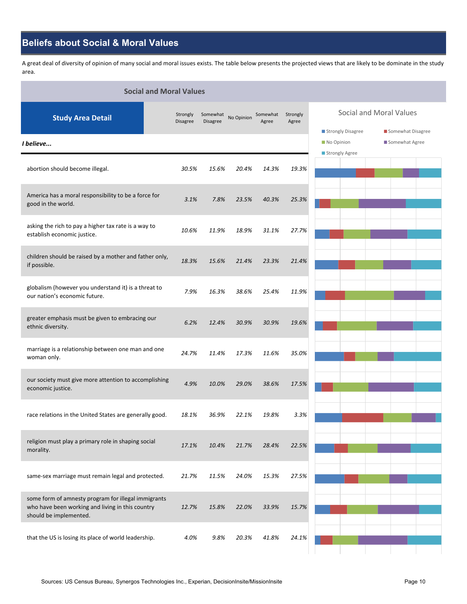### **Beliefs about Social & Moral Values**

A great deal of diversity of opinion of many social and moral issues exists. The table below presents the projected views that are likely to be dominate in the study area.

| <b>Social and Moral Values</b>                                                                                                    |                             |                             |            |                   |                   |                                 |                                     |  |  |  |  |
|-----------------------------------------------------------------------------------------------------------------------------------|-----------------------------|-----------------------------|------------|-------------------|-------------------|---------------------------------|-------------------------------------|--|--|--|--|
| <b>Study Area Detail</b>                                                                                                          | Strongly<br><b>Disagree</b> | Somewhat<br><b>Disagree</b> | No Opinion | Somewhat<br>Agree | Strongly<br>Agree |                                 | Social and Moral Values             |  |  |  |  |
| I believe                                                                                                                         |                             |                             |            |                   |                   | Strongly Disagree<br>No Opinion | Somewhat Disagree<br>Somewhat Agree |  |  |  |  |
|                                                                                                                                   |                             |                             |            |                   |                   | Strongly Agree                  |                                     |  |  |  |  |
| abortion should become illegal.                                                                                                   | 30.5%                       | 15.6%                       | 20.4%      | 14.3%             | 19.3%             |                                 |                                     |  |  |  |  |
| America has a moral responsibility to be a force for<br>good in the world.                                                        | 3.1%                        | 7.8%                        | 23.5%      | 40.3%             | 25.3%             |                                 |                                     |  |  |  |  |
| asking the rich to pay a higher tax rate is a way to<br>establish economic justice.                                               | 10.6%                       | 11.9%                       | 18.9%      | 31.1%             | 27.7%             |                                 |                                     |  |  |  |  |
| children should be raised by a mother and father only,<br>if possible.                                                            | 18.3%                       | 15.6%                       | 21.4%      | 23.3%             | 21.4%             |                                 |                                     |  |  |  |  |
| globalism (however you understand it) is a threat to<br>our nation's economic future.                                             | 7.9%                        | 16.3%                       | 38.6%      | 25.4%             | 11.9%             |                                 |                                     |  |  |  |  |
| greater emphasis must be given to embracing our<br>ethnic diversity.                                                              | 6.2%                        | 12.4%                       | 30.9%      | 30.9%             | 19.6%             |                                 |                                     |  |  |  |  |
| marriage is a relationship between one man and one<br>woman only.                                                                 | 24.7%                       | 11.4%                       | 17.3%      | 11.6%             | 35.0%             |                                 |                                     |  |  |  |  |
| our society must give more attention to accomplishing<br>economic justice.                                                        | 4.9%                        | 10.0%                       | 29.0%      | 38.6%             | 17.5%             |                                 |                                     |  |  |  |  |
| race relations in the United States are generally good.                                                                           | 18.1%                       | 36.9%                       | 22.1%      | 19.8%             | 3.3%              |                                 |                                     |  |  |  |  |
| religion must play a primary role in shaping social<br>morality.                                                                  | 17.1%                       | 10.4%                       | 21.7%      | 28.4%             | 22.5%             |                                 |                                     |  |  |  |  |
| same-sex marriage must remain legal and protected.                                                                                | 21.7%                       | 11.5%                       | 24.0%      | 15.3%             | 27.5%             |                                 |                                     |  |  |  |  |
| some form of amnesty program for illegal immigrants<br>who have been working and living in this country<br>should be implemented. | 12.7%                       | 15.8%                       | 22.0%      | 33.9%             | 15.7%             |                                 |                                     |  |  |  |  |
| that the US is losing its place of world leadership.                                                                              | 4.0%                        | 9.8%                        | 20.3%      | 41.8%             | 24.1%             |                                 |                                     |  |  |  |  |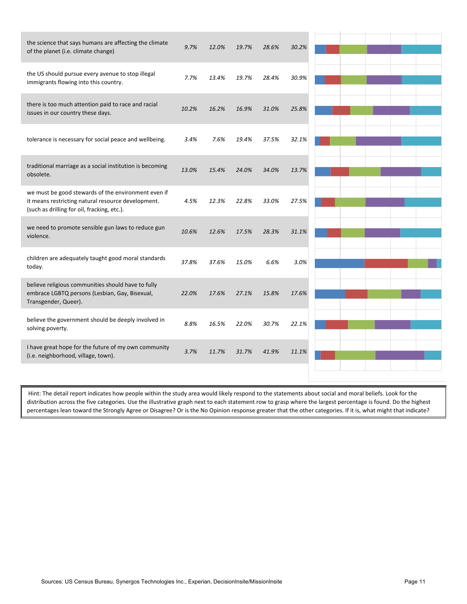| the science that says humans are affecting the climate<br>of the planet (i.e. climate change)                                                            | 9.7%  | 12.0% | 19.7% | 28.6% | 30.2% |  |  |  |
|----------------------------------------------------------------------------------------------------------------------------------------------------------|-------|-------|-------|-------|-------|--|--|--|
| the US should pursue every avenue to stop illegal<br>immigrants flowing into this country.                                                               | 7.7%  | 13.4% | 19.7% | 28.4% | 30.9% |  |  |  |
| there is too much attention paid to race and racial<br>issues in our country these days.                                                                 | 10.2% | 16.2% | 16.9% | 31.0% | 25.8% |  |  |  |
| tolerance is necessary for social peace and wellbeing.                                                                                                   | 3.4%  | 7.6%  | 19.4% | 37.5% | 32.1% |  |  |  |
| traditional marriage as a social institution is becoming<br>obsolete.                                                                                    | 13.0% | 15.4% | 24.0% | 34.0% | 13.7% |  |  |  |
| we must be good stewards of the environment even if<br>it means restricting natural resource development.<br>(such as drilling for oil, fracking, etc.). | 4.5%  | 12.3% | 22.8% | 33.0% | 27.5% |  |  |  |
| we need to promote sensible gun laws to reduce gun<br>violence.                                                                                          | 10.6% | 12.6% | 17.5% | 28.3% | 31.1% |  |  |  |
| children are adequately taught good moral standards<br>today.                                                                                            | 37.8% | 37.6% | 15.0% | 6.6%  | 3.0%  |  |  |  |
| believe religious communities should have to fully<br>embrace LGBTQ persons (Lesbian, Gay, Bisexual,<br>Transgender, Queer).                             | 22.0% | 17.6% | 27.1% | 15.8% | 17.6% |  |  |  |
| believe the government should be deeply involved in<br>solving poverty.                                                                                  | 8.8%  | 16.5% | 22.0% | 30.7% | 22.1% |  |  |  |
| I have great hope for the future of my own community<br>(i.e. neighborhood, village, town).                                                              | 3.7%  | 11.7% | 31.7% | 41.9% | 11.1% |  |  |  |
|                                                                                                                                                          |       |       |       |       |       |  |  |  |

Hint: The detail report indicates how people within the study area would likely respond to the statements about social and moral beliefs. Look for the distribution across the five categories. Use the illustrative graph next to each statement row to grasp where the largest percentage is found. Do the highest percentages lean toward the Strongly Agree or Disagree? Or is the No Opinion response greater that the other categories. If it is, what might that indicate?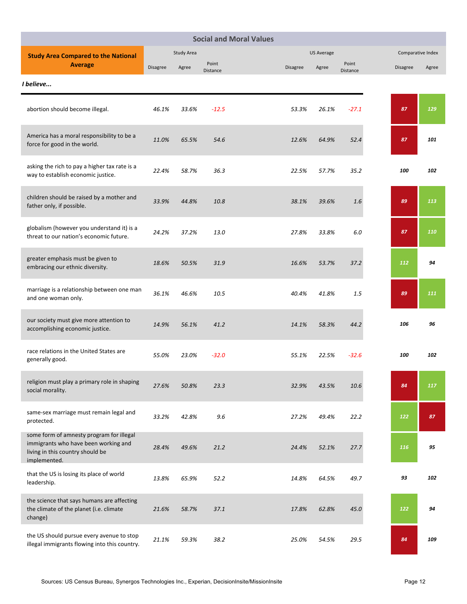|                                                                                                                                      |                 |            |                   | <b>Social and Moral Values</b> |                   |                   |          |                   |
|--------------------------------------------------------------------------------------------------------------------------------------|-----------------|------------|-------------------|--------------------------------|-------------------|-------------------|----------|-------------------|
| <b>Study Area Compared to the National</b>                                                                                           |                 | Study Area |                   |                                | <b>US Average</b> |                   |          | Comparative Index |
| <b>Average</b>                                                                                                                       | <b>Disagree</b> | Agree      | Point<br>Distance | Disagree                       | Agree             | Point<br>Distance | Disagree | Agree             |
| I believe                                                                                                                            |                 |            |                   |                                |                   |                   |          |                   |
| abortion should become illegal.                                                                                                      | 46.1%           | 33.6%      | $-12.5$           | 53.3%                          | 26.1%             | $-27.1$           | 87       | 129               |
| America has a moral responsibility to be a<br>force for good in the world.                                                           | 11.0%           | 65.5%      | 54.6              | 12.6%                          | 64.9%             | 52.4              | 87       | 101               |
| asking the rich to pay a higher tax rate is a<br>way to establish economic justice.                                                  | 22.4%           | 58.7%      | 36.3              | 22.5%                          | 57.7%             | 35.2              | 100      | 102               |
| children should be raised by a mother and<br>father only, if possible.                                                               | 33.9%           | 44.8%      | 10.8              | 38.1%                          | 39.6%             | 1.6               | 89       | 113               |
| globalism (however you understand it) is a<br>threat to our nation's economic future.                                                | 24.2%           | 37.2%      | 13.0              | 27.8%                          | 33.8%             | 6.0               | 87       | 110               |
| greater emphasis must be given to<br>embracing our ethnic diversity.                                                                 | 18.6%           | 50.5%      | 31.9              | 16.6%                          | 53.7%             | 37.2              | 112      | 94                |
| marriage is a relationship between one man<br>and one woman only.                                                                    | 36.1%           | 46.6%      | 10.5              | 40.4%                          | 41.8%             | 1.5               | 89       | 111               |
| our society must give more attention to<br>accomplishing economic justice.                                                           | 14.9%           | 56.1%      | 41.2              | 14.1%                          | 58.3%             | 44.2              | 106      | 96                |
| race relations in the United States are<br>generally good.                                                                           | 55.0%           | 23.0%      | $-32.0$           | 55.1%                          | 22.5%             | $-32.6$           | 100      | 102               |
| religion must play a primary role in shaping<br>social morality.                                                                     | 27.6%           | 50.8%      | 23.3              | 32.9%                          | 43.5%             | 10.6              | 84       | 117               |
| same-sex marriage must remain legal and<br>protected.                                                                                | 33.2%           | 42.8%      | 9.6               | 27.2%                          | 49.4%             | 22.2              | 122      | 87                |
| some form of amnesty program for illegal<br>immigrants who have been working and<br>living in this country should be<br>implemented. | 28.4%           | 49.6%      | 21.2              | 24.4%                          | 52.1%             | 27.7              | 116      | 95                |
| that the US is losing its place of world<br>leadership.                                                                              | 13.8%           | 65.9%      | 52.2              | 14.8%                          | 64.5%             | 49.7              | 93       | 102               |
| the science that says humans are affecting<br>the climate of the planet (i.e. climate<br>change)                                     | 21.6%           | 58.7%      | 37.1              | 17.8%                          | 62.8%             | 45.0              | 122      | 94                |
| the US should pursue every avenue to stop<br>illegal immigrants flowing into this country.                                           | 21.1%           | 59.3%      | 38.2              | 25.0%                          | 54.5%             | 29.5              | 84       | 109               |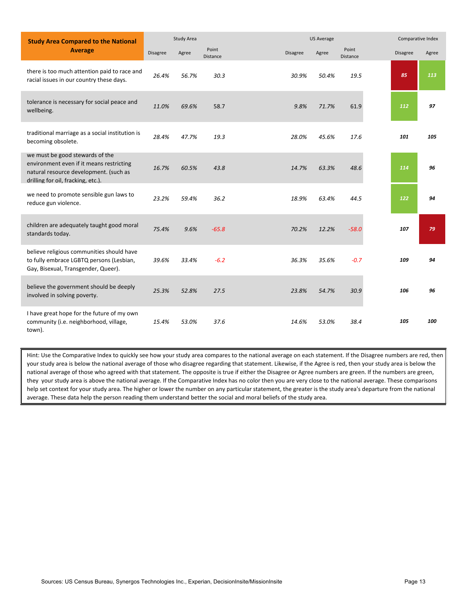| <b>Study Area Compared to the National</b>                                                                                                                  |                 | Study Area |                          |                 | <b>US Average</b> |                          |                 | Comparative Index |
|-------------------------------------------------------------------------------------------------------------------------------------------------------------|-----------------|------------|--------------------------|-----------------|-------------------|--------------------------|-----------------|-------------------|
| <b>Average</b>                                                                                                                                              | <b>Disagree</b> | Agree      | Point<br><b>Distance</b> | <b>Disagree</b> | Agree             | Point<br><b>Distance</b> | <b>Disagree</b> | Agree             |
| there is too much attention paid to race and<br>racial issues in our country these days.                                                                    | 26.4%           | 56.7%      | 30.3                     | 30.9%           | 50.4%             | 19.5                     | 85              | 113               |
| tolerance is necessary for social peace and<br>wellbeing.                                                                                                   | 11.0%           | 69.6%      | 58.7                     | 9.8%            | 71.7%             | 61.9                     | 112             | 97                |
| traditional marriage as a social institution is<br>becoming obsolete.                                                                                       | 28.4%           | 47.7%      | 19.3                     | 28.0%           | 45.6%             | 17.6                     | 101             | 105               |
| we must be good stewards of the<br>environment even if it means restricting<br>natural resource development. (such as<br>drilling for oil, fracking, etc.). | 16.7%           | 60.5%      | 43.8                     | 14.7%           | 63.3%             | 48.6                     | 114             | 96                |
| we need to promote sensible gun laws to<br>reduce gun violence.                                                                                             | 23.2%           | 59.4%      | 36.2                     | 18.9%           | 63.4%             | 44.5                     | 122             | 94                |
| children are adequately taught good moral<br>standards today.                                                                                               | 75.4%           | 9.6%       | $-65.8$                  | 70.2%           | 12.2%             | $-58.0$                  | 107             | 79                |
| believe religious communities should have<br>to fully embrace LGBTQ persons (Lesbian,<br>Gay, Bisexual, Transgender, Queer).                                | 39.6%           | 33.4%      | $-6.2$                   | 36.3%           | 35.6%             | $-0.7$                   | 109             | 94                |
| believe the government should be deeply<br>involved in solving poverty.                                                                                     | 25.3%           | 52.8%      | 27.5                     | 23.8%           | 54.7%             | 30.9                     | 106             | 96                |
| I have great hope for the future of my own<br>community (i.e. neighborhood, village,<br>town).                                                              | 15.4%           | 53.0%      | 37.6                     | 14.6%           | 53.0%             | 38.4                     | 105             | 100               |

Hint: Use the Comparative Index to quickly see how your study area compares to the national average on each statement. If the Disagree numbers are red, then your study area is below the national average of those who disagree regarding that statement. Likewise, if the Agree is red, then your study area is below the national average of those who agreed with that statement. The opposite is true if either the Disagree or Agree numbers are green. If the numbers are green, they your study area is above the national average. If the Comparative Index has no color then you are very close to the national average. These comparisons help set context for your study area. The higher or lower the number on any particular statement, the greater is the study area's departure from the national average. These data help the person reading them understand better the social and moral beliefs of the study area.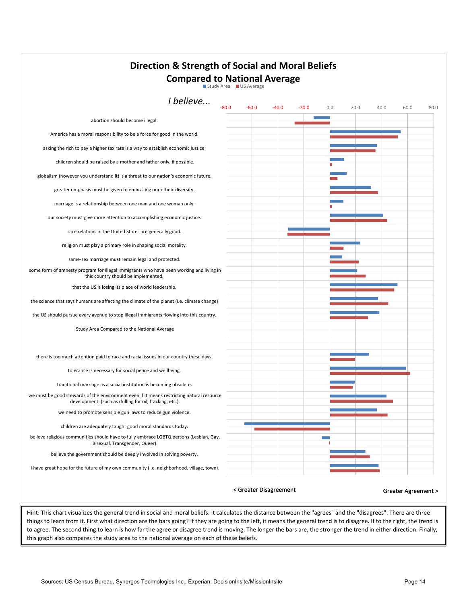| <b>Direction &amp; Strength of Social and Moral Beliefs</b><br><b>Compared to National Average</b><br>Study Area US Average                           |                        |         |                                                                |     |      |      |                               |      |
|-------------------------------------------------------------------------------------------------------------------------------------------------------|------------------------|---------|----------------------------------------------------------------|-----|------|------|-------------------------------|------|
| I believe<br>-80.0                                                                                                                                    | $-60.0$                | $-40.0$ | $-20.0$                                                        | 0.0 | 20.0 | 40.0 | 60.0                          | 80.0 |
| abortion should become illegal.                                                                                                                       |                        |         |                                                                |     |      |      |                               |      |
| America has a moral responsibility to be a force for good in the world.                                                                               |                        |         |                                                                |     |      |      |                               |      |
| asking the rich to pay a higher tax rate is a way to establish economic justice.                                                                      |                        |         |                                                                |     |      |      |                               |      |
| children should be raised by a mother and father only, if possible.                                                                                   |                        |         |                                                                |     |      |      |                               |      |
| globalism (however you understand it) is a threat to our nation's economic future.                                                                    |                        |         |                                                                |     |      |      |                               |      |
| greater emphasis must be given to embracing our ethnic diversity.                                                                                     |                        |         |                                                                |     |      |      |                               |      |
| marriage is a relationship between one man and one woman only.                                                                                        |                        |         |                                                                |     |      |      |                               |      |
| our society must give more attention to accomplishing economic justice.                                                                               |                        |         |                                                                |     |      |      |                               |      |
| race relations in the United States are generally good.                                                                                               |                        |         |                                                                |     |      |      |                               |      |
| religion must play a primary role in shaping social morality.                                                                                         |                        |         |                                                                |     |      |      |                               |      |
| same-sex marriage must remain legal and protected.                                                                                                    |                        |         |                                                                |     |      |      |                               |      |
| some form of amnesty program for illegal immigrants who have been working and living in<br>this country should be implemented.                        |                        |         |                                                                |     |      |      |                               |      |
| that the US is losing its place of world leadership.                                                                                                  |                        |         |                                                                |     |      |      |                               |      |
| the science that says humans are affecting the climate of the planet (i.e. climate change)                                                            |                        |         |                                                                |     |      |      |                               |      |
| the US should pursue every avenue to stop illegal immigrants flowing into this country.                                                               |                        |         |                                                                |     |      |      |                               |      |
| Study Area Compared to the National Average                                                                                                           |                        |         |                                                                |     |      |      |                               |      |
| there is too much attention paid to race and racial issues in our country these days.                                                                 |                        |         |                                                                |     |      |      |                               |      |
| tolerance is necessary for social peace and wellbeing.                                                                                                |                        |         |                                                                |     |      |      |                               |      |
| traditional marriage as a social institution is becoming obsolete.                                                                                    |                        |         |                                                                |     |      |      |                               |      |
| we must be good stewards of the environment even if it means restricting natural resource<br>development. (such as drilling for oil, fracking, etc.). |                        |         |                                                                |     |      |      |                               |      |
| we need to promote sensible gun laws to reduce gun violence.                                                                                          |                        |         |                                                                |     |      |      |                               |      |
| children are adequately taught good moral standards today.                                                                                            |                        |         |                                                                |     |      |      |                               |      |
| believe religious communities should have to fully embrace LGBTQ persons (Lesbian, Gay,<br>Bisexual, Transgender, Queer).                             |                        |         |                                                                |     |      |      |                               |      |
| believe the government should be deeply involved in solving poverty.                                                                                  |                        |         |                                                                |     |      |      |                               |      |
| I have great hope for the future of my own community (i.e. neighborhood, village, town).                                                              |                        |         |                                                                |     |      |      |                               |      |
|                                                                                                                                                       | < Greater Disagreement |         | وبعومناوال وعالج اومره الموموم والممالح وبموريناه والموموعوناه |     |      |      | <b>Greater Agreement &gt;</b> |      |

Hint: This chart visualizes the general trend in social and moral beliefs. It calculates the distance between the "agrees" and the "disagrees". There are three things to learn from it. First what direction are the bars going? If they are going to the left, it means the general trend is to disagree. If to the right, the trend is to agree. The second thing to learn is how far the agree or disagree trend is moving. The longer the bars are, the stronger the trend in either direction. Finally, this graph also compares the study area to the national average on each of these beliefs.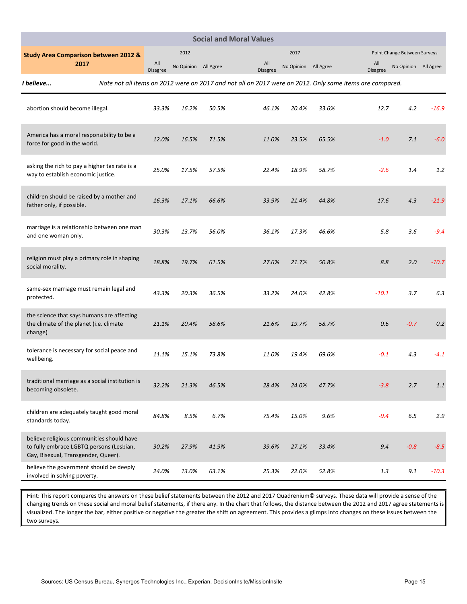|                                                                                                                              | <b>Social and Moral Values</b>             |                        |                      |       |                        |                      |       |                                                                                                         |                              |         |  |
|------------------------------------------------------------------------------------------------------------------------------|--------------------------------------------|------------------------|----------------------|-------|------------------------|----------------------|-------|---------------------------------------------------------------------------------------------------------|------------------------------|---------|--|
| <b>Study Area Comparison between 2012 &amp;</b>                                                                              |                                            |                        | 2012                 |       |                        | 2017                 |       |                                                                                                         | Point Change Between Surveys |         |  |
| 2017                                                                                                                         |                                            | All<br><b>Disagree</b> | No Opinion All Agree |       | All<br><b>Disagree</b> | No Opinion All Agree |       | All<br><b>Disagree</b>                                                                                  | No Opinion All Agree         |         |  |
| I believe                                                                                                                    |                                            |                        |                      |       |                        |                      |       | Note not all items on 2012 were on 2017 and not all on 2017 were on 2012. Only same items are compared. |                              |         |  |
| abortion should become illegal.                                                                                              |                                            | 33.3%                  | 16.2%                | 50.5% | 46.1%                  | 20.4%                | 33.6% | 12.7                                                                                                    | 4.2                          | $-16.9$ |  |
| America has a moral responsibility to be a<br>force for good in the world.                                                   |                                            | 12.0%                  | 16.5%                | 71.5% | 11.0%                  | 23.5%                | 65.5% | $-1.0$                                                                                                  | 7.1                          | $-6.0$  |  |
| asking the rich to pay a higher tax rate is a<br>way to establish economic justice.                                          |                                            | 25.0%                  | 17.5%                | 57.5% | 22.4%                  | 18.9%                | 58.7% | $-2.6$                                                                                                  | 1.4                          | 1.2     |  |
| children should be raised by a mother and<br>father only, if possible.                                                       |                                            | 16.3%                  | 17.1%                | 66.6% | 33.9%                  | 21.4%                | 44.8% | 17.6                                                                                                    | 4.3                          | $-21.9$ |  |
| and one woman only.                                                                                                          | marriage is a relationship between one man | 30.3%                  | 13.7%                | 56.0% | 36.1%                  | 17.3%                | 46.6% | 5.8                                                                                                     | 3.6                          | $-9.4$  |  |
| religion must play a primary role in shaping<br>social morality.                                                             |                                            | 18.8%                  | 19.7%                | 61.5% | 27.6%                  | 21.7%                | 50.8% | 8.8                                                                                                     | 2.0                          | $-10.7$ |  |
| same-sex marriage must remain legal and<br>protected.                                                                        |                                            | 43.3%                  | 20.3%                | 36.5% | 33.2%                  | 24.0%                | 42.8% | $-10.1$                                                                                                 | 3.7                          | 6.3     |  |
| the science that says humans are affecting<br>the climate of the planet (i.e. climate<br>change)                             |                                            | 21.1%                  | 20.4%                | 58.6% | 21.6%                  | 19.7%                | 58.7% | 0.6                                                                                                     | $-0.7$                       | 0.2     |  |
| tolerance is necessary for social peace and<br>wellbeing.                                                                    |                                            | 11.1%                  | 15.1%                | 73.8% | 11.0%                  | 19.4%                | 69.6% | $-0.1$                                                                                                  | 4.3                          | $-4.1$  |  |
| traditional marriage as a social institution is<br>becoming obsolete.                                                        |                                            | 32.2%                  | 21.3%                | 46.5% | 28.4%                  | 24.0%                | 47.7% | $-3.8$                                                                                                  | 2.7                          | 1.1     |  |
| children are adequately taught good moral<br>standards today.                                                                |                                            | 84.8%                  | 8.5%                 | 6.7%  | 75.4%                  | 15.0%                | 9.6%  | $-9.4$                                                                                                  | 6.5                          | 2.9     |  |
| believe religious communities should have<br>to fully embrace LGBTQ persons (Lesbian,<br>Gay, Bisexual, Transgender, Queer). |                                            | 30.2%                  | 27.9%                | 41.9% | 39.6%                  | 27.1%                | 33.4% | 9.4                                                                                                     | $-0.8$                       | $-8.5$  |  |
| believe the government should be deeply<br>involved in solving poverty.                                                      |                                            | 24.0%                  | 13.0%                | 63.1% | 25.3%                  | 22.0%                | 52.8% | $1.3\,$                                                                                                 | 9.1                          | $-10.3$ |  |

Hint: This report compares the answers on these belief statements between the 2012 and 2017 Quadrenium© surveys. These data will provide a sense of the changing trends on these social and moral belief statements, if there any. In the chart that follows, the distance between the 2012 and 2017 agree statements is visualized. The longer the bar, either positive or negative the greater the shift on agreement. This provides a glimps into changes on these issues between the two surveys.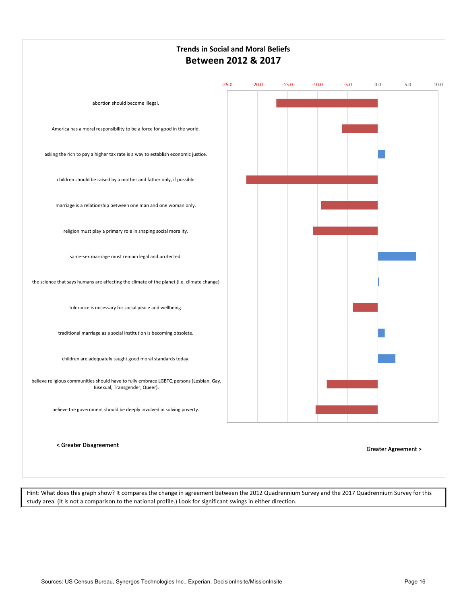

Hint: What does this graph show? It compares the change in agreement between the 2012 Quadrennium Survey and the 2017 Quadrennium Survey for this study area. (It is not a comparison to the national profile.) Look for significant swings in either direction.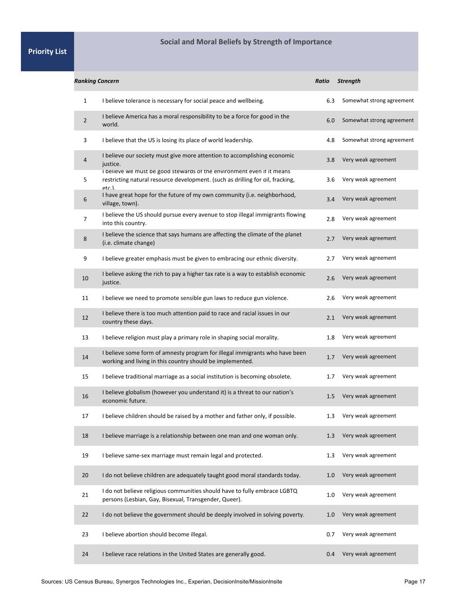### **Social and Moral Beliefs by Strength of Importance**

| <b>Ranking Concern</b> |                                                                                                                                                                  | Ratio | <b>Strength</b>           |
|------------------------|------------------------------------------------------------------------------------------------------------------------------------------------------------------|-------|---------------------------|
| 1                      | I believe tolerance is necessary for social peace and wellbeing.                                                                                                 | 6.3   | Somewhat strong agreement |
| $\overline{2}$         | I believe America has a moral responsibility to be a force for good in the<br>world.                                                                             | 6.0   | Somewhat strong agreement |
| 3                      | I believe that the US is losing its place of world leadership.                                                                                                   | 4.8   | Somewhat strong agreement |
| 4                      | I believe our society must give more attention to accomplishing economic<br>justice.                                                                             | 3.8   | Very weak agreement       |
| 5                      | I believe we must be good stewards of the environment even if it means<br>restricting natural resource development. (such as drilling for oil, fracking,<br>etc. | 3.6   | Very weak agreement       |
| 6                      | I have great hope for the future of my own community (i.e. neighborhood,<br>village, town).                                                                      | 3.4   | Very weak agreement       |
| 7                      | I believe the US should pursue every avenue to stop illegal immigrants flowing<br>into this country.                                                             | 2.8   | Very weak agreement       |
| 8                      | I believe the science that says humans are affecting the climate of the planet<br>(i.e. climate change)                                                          | 2.7   | Very weak agreement       |
| 9                      | I believe greater emphasis must be given to embracing our ethnic diversity.                                                                                      | 2.7   | Very weak agreement       |
| 10                     | I believe asking the rich to pay a higher tax rate is a way to establish economic<br>justice.                                                                    | 2.6   | Very weak agreement       |
| 11                     | I believe we need to promote sensible gun laws to reduce gun violence.                                                                                           | 2.6   | Very weak agreement       |
| 12                     | I believe there is too much attention paid to race and racial issues in our<br>country these days.                                                               | 2.1   | Very weak agreement       |
| 13                     | I believe religion must play a primary role in shaping social morality.                                                                                          | 1.8   | Very weak agreement       |
| 14                     | I believe some form of amnesty program for illegal immigrants who have been<br>working and living in this country should be implemented.                         | 1.7   | Very weak agreement       |
| 15                     | I believe traditional marriage as a social institution is becoming obsolete.                                                                                     | 1.7   | Very weak agreement       |
| 16                     | I believe globalism (however you understand it) is a threat to our nation's<br>economic future.                                                                  | 1.5   | Very weak agreement       |
| 17                     | I believe children should be raised by a mother and father only, if possible.                                                                                    | 1.3   | Very weak agreement       |
| 18                     | I believe marriage is a relationship between one man and one woman only.                                                                                         | 1.3   | Very weak agreement       |
| 19                     | I believe same-sex marriage must remain legal and protected.                                                                                                     | 1.3   | Very weak agreement       |
| 20                     | I do not believe children are adequately taught good moral standards today.                                                                                      | 1.0   | Very weak agreement       |
| 21                     | I do not believe religious communities should have to fully embrace LGBTQ<br>persons (Lesbian, Gay, Bisexual, Transgender, Queer).                               | 1.0   | Very weak agreement       |
| 22                     | I do not believe the government should be deeply involved in solving poverty.                                                                                    | 1.0   | Very weak agreement       |
| 23                     | I believe abortion should become illegal.                                                                                                                        | 0.7   | Very weak agreement       |
| 24                     | I believe race relations in the United States are generally good.                                                                                                | 0.4   | Very weak agreement       |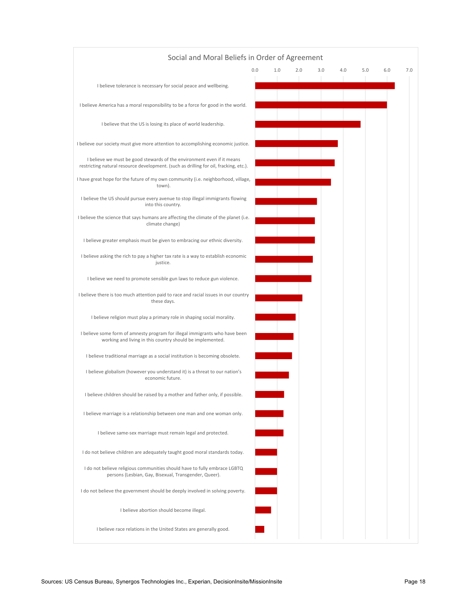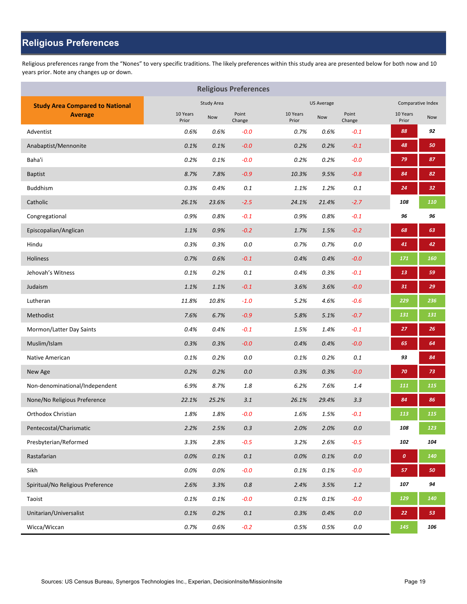### **Religious Preferences**

Religious preferences range from the "Nones" to very specific traditions. The likely preferences within this study area are presented below for both now and 10 years prior. Note any changes up or down.

|                                        |                   | <b>Religious Preferences</b> |                 |                   |                   |                 |                   |                   |
|----------------------------------------|-------------------|------------------------------|-----------------|-------------------|-------------------|-----------------|-------------------|-------------------|
| <b>Study Area Compared to National</b> |                   | Study Area                   |                 |                   | <b>US Average</b> |                 |                   | Comparative Index |
| <b>Average</b>                         | 10 Years<br>Prior | Now                          | Point<br>Change | 10 Years<br>Prior | Now               | Point<br>Change | 10 Years<br>Prior | Now               |
| Adventist                              | 0.6%              | 0.6%                         | $-0.0$          | 0.7%              | 0.6%              | $-0.1$          | 88                | 92                |
| Anabaptist/Mennonite                   | 0.1%              | 0.1%                         | $-0.0$          | 0.2%              | 0.2%              | $-0.1$          | 48                | 50                |
| Baha'i                                 | 0.2%              | 0.1%                         | $-0.0$          | 0.2%              | 0.2%              | $-0.0$          | 79                | 87                |
| <b>Baptist</b>                         | 8.7%              | 7.8%                         | $-0.9$          | 10.3%             | 9.5%              | $-0.8$          | 84                | 82                |
| <b>Buddhism</b>                        | 0.3%              | 0.4%                         | 0.1             | 1.1%              | 1.2%              | 0.1             | 24                | 32                |
| Catholic                               | 26.1%             | 23.6%                        | $-2.5$          | 24.1%             | 21.4%             | $-2.7$          | 108               | 110               |
| Congregational                         | 0.9%              | 0.8%                         | $-0.1$          | 0.9%              | 0.8%              | $-0.1$          | 96                | 96                |
| Episcopalian/Anglican                  | 1.1%              | 0.9%                         | $-0.2$          | 1.7%              | 1.5%              | $-0.2$          | 68                | 63                |
| Hindu                                  | 0.3%              | 0.3%                         | 0.0             | 0.7%              | 0.7%              | 0.0             | 41                | 42                |
| <b>Holiness</b>                        | 0.7%              | 0.6%                         | $-0.1$          | 0.4%              | 0.4%              | $-0.0$          | 171               | 160               |
| Jehovah's Witness                      | 0.1%              | 0.2%                         | 0.1             | 0.4%              | 0.3%              | $-0.1$          | 13                | 59                |
| Judaism                                | 1.1%              | 1.1%                         | $-0.1$          | 3.6%              | 3.6%              | $-0.0$          | 31                | 29                |
| Lutheran                               | 11.8%             | 10.8%                        | $-1.0$          | 5.2%              | 4.6%              | $-0.6$          | 229               | 236               |
| Methodist                              | 7.6%              | 6.7%                         | $-0.9$          | 5.8%              | 5.1%              | $-0.7$          | 131               | 131               |
| Mormon/Latter Day Saints               | 0.4%              | 0.4%                         | $-0.1$          | 1.5%              | 1.4%              | $-0.1$          | 27                | 26                |
| Muslim/Islam                           | 0.3%              | 0.3%                         | $-0.0$          | 0.4%              | 0.4%              | $-0.0$          | 65                | 64                |
| Native American                        | 0.1%              | 0.2%                         | 0.0             | 0.1%              | 0.2%              | 0.1             | 93                | 84                |
| New Age                                | 0.2%              | 0.2%                         | 0.0             | 0.3%              | 0.3%              | $-0.0$          | 70                | 73                |
| Non-denominational/Independent         | 6.9%              | 8.7%                         | 1.8             | 6.2%              | 7.6%              | 1.4             | 111               | 115               |
| None/No Religious Preference           | 22.1%             | 25.2%                        | 3.1             | 26.1%             | 29.4%             | 3.3             | 84                | 86                |
| Orthodox Christian                     | 1.8%              | 1.8%                         | $-0.0$          | 1.6%              | 1.5%              | $-0.1$          | 113               | 115               |
| Pentecostal/Charismatic                | 2.2%              | 2.5%                         | $0.3\,$         | 2.0%              | 2.0%              | $0.0\,$         | 108               | 123               |
| Presbyterian/Reformed                  | 3.3%              | 2.8%                         | $-0.5$          | 3.2%              | 2.6%              | $-0.5$          | 102               | 104               |
| Rastafarian                            | 0.0%              | 0.1%                         | $0.1\,$         | 0.0%              | 0.1%              | $0.0\,$         | $\pmb{o}$         | 140               |
| Sikh                                   | $0.0\%$           | 0.0%                         | $-0.0$          | 0.1%              | 0.1%              | $-0.0$          | 57                | 50                |
| Spiritual/No Religious Preference      | 2.6%              | 3.3%                         | $0.8\,$         | 2.4%              | 3.5%              | $1.2\,$         | 107               | 94                |
| Taoist                                 | 0.1%              | 0.1%                         | $-0.0$          | 0.1%              | 0.1%              | $-0.0$          | 129               | 140               |
| Unitarian/Universalist                 | $0.1\%$           | 0.2%                         | $0.1\,$         | 0.3%              | 0.4%              | $0.0\,$         | 22                | 53                |
| Wicca/Wiccan                           | 0.7%              | 0.6%                         | $-0.2$          | 0.5%              | 0.5%              | $0.0\,$         | 145               | 106               |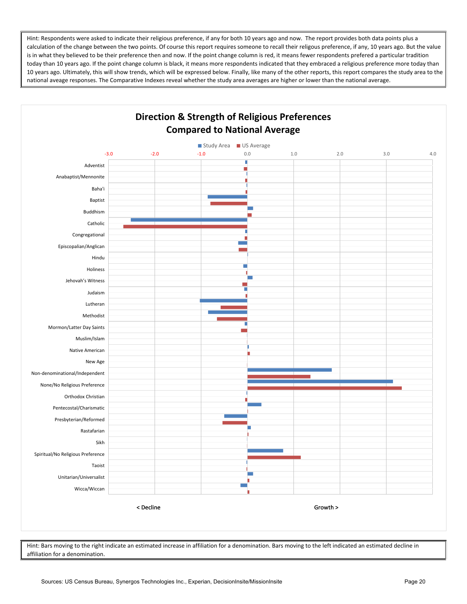Hint: Respondents were asked to indicate their religious preference, if any for both 10 years ago and now. The report provides both data points plus a calculation of the change between the two points. Of course this report requires someone to recall their religous preference, if any, 10 years ago. But the value is in what they believed to be their preference then and now. If the point change column is red, it means fewer respondents prefered a particular tradition today than 10 years ago. If the point change column is black, it means more respondents indicated that they embraced a religious preference more today than 10 years ago. Ultimately, this will show trends, which will be expressed below. Finally, like many of the other reports, this report compares the study area to the national aveage responses. The Comparative Indexes reveal whether the study area averages are higher or lower than the national average.



Hint: Bars moving to the right indicate an estimated increase in affiliation for a denomination. Bars moving to the left indicated an estimated decline in affiliation for a denomination.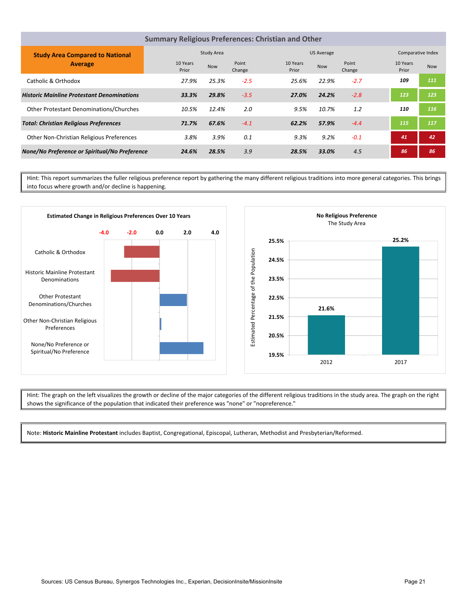|                                                   | <b>Summary Religious Preferences: Christian and Other</b> |            |                 |                   |            |                 |                   |                   |
|---------------------------------------------------|-----------------------------------------------------------|------------|-----------------|-------------------|------------|-----------------|-------------------|-------------------|
| <b>Study Area Compared to National</b>            |                                                           | Study Area |                 |                   | US Average |                 |                   | Comparative Index |
| <b>Average</b>                                    | 10 Years<br>Prior                                         | <b>Now</b> | Point<br>Change | 10 Years<br>Prior | <b>Now</b> | Point<br>Change | 10 Years<br>Prior | <b>Now</b>        |
| Catholic & Orthodox                               | 27.9%                                                     | 25.3%      | $-2.5$          | 25.6%             | 22.9%      | $-2.7$          | 109               | 111               |
| <b>Historic Mainline Protestant Denominations</b> | 33.3%                                                     | 29.8%      | $-3.5$          | 27.0%             | 24.2%      | $-2.8$          | 123               | 123               |
| <b>Other Protestant Denominations/Churches</b>    | 10.5%                                                     | 12.4%      | 2.0             | 9.5%              | 10.7%      | 1.2             | 110               | 116               |
| <b>Total: Christian Religious Preferences</b>     | 71.7%                                                     | 67.6%      | $-4.1$          | 62.2%             | 57.9%      | $-4.4$          | 115               | 117               |
| Other Non-Christian Religious Preferences         | 3.8%                                                      | 3.9%       | 0.1             | 9.3%              | 9.2%       | $-0.1$          | 41                | 42                |
| None/No Preference or Spiritual/No Preference     | 24.6%                                                     | 28.5%      | 3.9             | 28.5%             | 33.0%      | 4.5             | 86                | 86                |

Hint: This report summarizes the fuller religious preference report by gathering the many different religious traditions into more general categories. This brings into focus where growth and/or decline is happening.



Hint: The graph on the left visualizes the growth or decline of the major categories of the different religious traditions in the study area. The graph on the right shows the significance of the population that indicated their preference was "none" or "nopreference."

Note: **Historic Mainline Protestant** includes Baptist, Congregational, Episcopal, Lutheran, Methodist and Presbyterian/Reformed.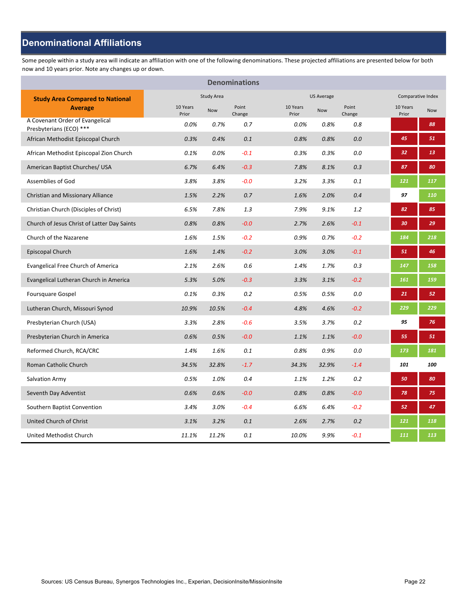### **Denominational Affiliations**

Some people within a study area will indicate an affiliation with one of the following denominations. These projected affiliations are presented below for both now and 10 years prior. Note any changes up or down.

|                                                            |                   |                   | <b>Denominations</b> |                   |                   |                 |                   |                   |
|------------------------------------------------------------|-------------------|-------------------|----------------------|-------------------|-------------------|-----------------|-------------------|-------------------|
| <b>Study Area Compared to National</b>                     |                   | <b>Study Area</b> |                      |                   | <b>US Average</b> |                 |                   | Comparative Index |
| <b>Average</b>                                             | 10 Years<br>Prior | <b>Now</b>        | Point<br>Change      | 10 Years<br>Prior | <b>Now</b>        | Point<br>Change | 10 Years<br>Prior | <b>Now</b>        |
| A Covenant Order of Evangelical<br>Presbyterians (ECO) *** | 0.0%              | 0.7%              | 0.7                  | 0.0%              | 0.8%              | 0.8             |                   | 88                |
| African Methodist Episcopal Church                         | 0.3%              | 0.4%              | 0.1                  | 0.8%              | 0.8%              | 0.0             | 45                | 51                |
| African Methodist Episcopal Zion Church                    | 0.1%              | 0.0%              | $-0.1$               | 0.3%              | 0.3%              | 0.0             | 32                | 13                |
| American Baptist Churches/ USA                             | 6.7%              | 6.4%              | $-0.3$               | 7.8%              | 8.1%              | 0.3             | 87                | 80                |
| Assemblies of God                                          | 3.8%              | 3.8%              | $-0.0$               | 3.2%              | 3.3%              | 0.1             | 121               | 117               |
| Christian and Missionary Alliance                          | 1.5%              | 2.2%              | 0.7                  | 1.6%              | 2.0%              | 0.4             | 97                | 110               |
| Christian Church (Disciples of Christ)                     | 6.5%              | 7.8%              | 1.3                  | 7.9%              | 9.1%              | 1.2             | 82                | 85                |
| Church of Jesus Christ of Latter Day Saints                | 0.8%              | 0.8%              | $-0.0$               | 2.7%              | 2.6%              | $-0.1$          | 30                | 29                |
| Church of the Nazarene                                     | 1.6%              | 1.5%              | $-0.2$               | 0.9%              | 0.7%              | $-0.2$          | 184               | 218               |
| Episcopal Church                                           | 1.6%              | 1.4%              | $-0.2$               | 3.0%              | 3.0%              | $-0.1$          | 51                | 46                |
| <b>Evangelical Free Church of America</b>                  | 2.1%              | 2.6%              | 0.6                  | 1.4%              | 1.7%              | 0.3             | 147               | 158               |
| Evangelical Lutheran Church in America                     | 5.3%              | 5.0%              | $-0.3$               | 3.3%              | 3.1%              | $-0.2$          | 161               | 159               |
| Foursquare Gospel                                          | 0.1%              | 0.3%              | 0.2                  | 0.5%              | 0.5%              | 0.0             | 21                | 52                |
| Lutheran Church, Missouri Synod                            | 10.9%             | 10.5%             | $-0.4$               | 4.8%              | 4.6%              | $-0.2$          | 229               | 229               |
| Presbyterian Church (USA)                                  | 3.3%              | 2.8%              | $-0.6$               | 3.5%              | 3.7%              | 0.2             | 95                | 76                |
| Presbyterian Church in America                             | 0.6%              | 0.5%              | $-0.0$               | 1.1%              | 1.1%              | $-0.0$          | 55                | 51                |
| Reformed Church, RCA/CRC                                   | 1.4%              | 1.6%              | 0.1                  | 0.8%              | 0.9%              | 0.0             | 173               | 181               |
| Roman Catholic Church                                      | 34.5%             | 32.8%             | $-1.7$               | 34.3%             | 32.9%             | $-1.4$          | 101               | 100               |
| Salvation Army                                             | 0.5%              | 1.0%              | 0.4                  | 1.1%              | 1.2%              | 0.2             | 50                | 80                |
| Seventh Day Adventist                                      | 0.6%              | 0.6%              | $-0.0$               | 0.8%              | 0.8%              | $-0.0$          | 78                | 75                |
| Southern Baptist Convention                                | 3.4%              | 3.0%              | $-0.4$               | 6.6%              | 6.4%              | $-0.2$          | 52                | 47                |
| United Church of Christ                                    | 3.1%              | 3.2%              | 0.1                  | 2.6%              | 2.7%              | 0.2             | 121               | 118               |
| United Methodist Church                                    | 11.1%             | 11.2%             | 0.1                  | 10.0%             | 9.9%              | $-0.1$          | 111               | 113               |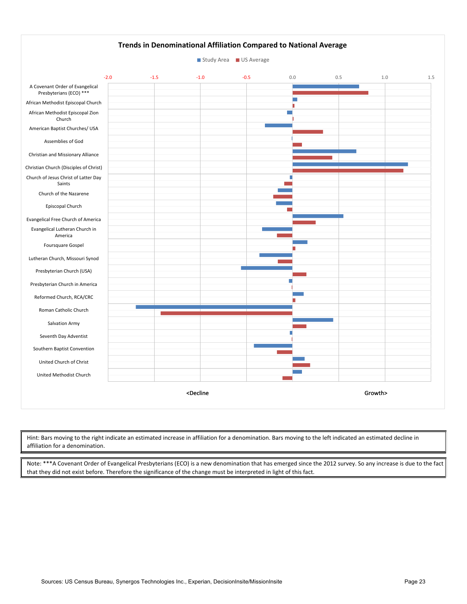

Hint: Bars moving to the right indicate an estimated increase in affiliation for a denomination. Bars moving to the left indicated an estimated decline in affiliation for a denomination.

Note: \*\*\*A Covenant Order of Evangelical Presbyterians (ECO) is a new denomination that has emerged since the 2012 survey. So any increase is due to the fact that they did not exist before. Therefore the significance of the change must be interpreted in light of this fact.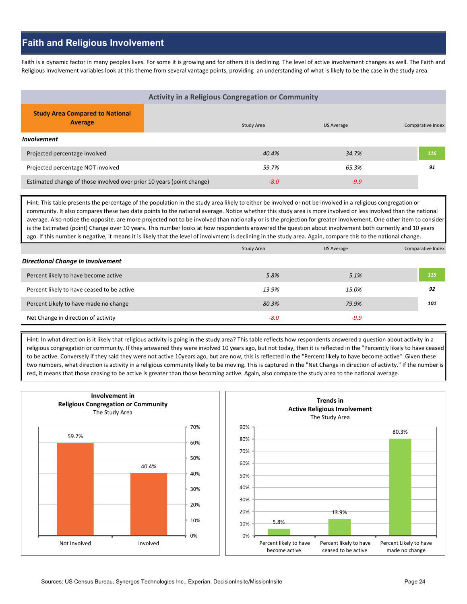### **Faith and Religious Involvement**

Faith is a dynamic factor in many peoples lives. For some it is growing and for others it is declining. The level of active involvement changes as well. The Faith and Religious Involvement variables look at this theme from several vantage points, providing an understanding of what is likely to be the case in the study area.

| <b>Activity in a Religious Congregation or Community</b>              |  |            |            |                   |  |  |  |  |  |
|-----------------------------------------------------------------------|--|------------|------------|-------------------|--|--|--|--|--|
| <b>Study Area Compared to National</b><br><b>Average</b>              |  | Study Area | US Average | Comparative Index |  |  |  |  |  |
| <b>Involvement</b>                                                    |  |            |            |                   |  |  |  |  |  |
| Projected percentage involved                                         |  | 40.4%      | 34.7%      | 116               |  |  |  |  |  |
| Projected percentage NOT involved                                     |  | 59.7%      | 65.3%      | 91                |  |  |  |  |  |
| Estimated change of those involved over prior 10 years (point change) |  | $-8.0$     | $-9.9$     |                   |  |  |  |  |  |

Hint: This table presents the percentage of the population in the study area likely to either be involved or not be involved in a religious congregation or community. It also compares these two data points to the national average. Notice whether this study area is more involved or less involved than the national average. Also notice the opposite. are more projected not to be involved than nationally or is the projection for greater involvement. One other item to consider is the Estimated (point) Change over 10 years. This number looks at how respondents answered the question about involvement both currently and 10 years ago. If this number is negative, it means it is likely that the level of involvment is declining in the study area. Again, compare this to the national change.

|                                            | Study Area | <b>US Average</b> | Comparative Index |
|--------------------------------------------|------------|-------------------|-------------------|
| <b>Directional Change in Involvement</b>   |            |                   |                   |
| Percent likely to have become active       | 5.8%       | 5.1%              | 115               |
| Percent likely to have ceased to be active | 13.9%      | 15.0%             | 92                |
| Percent Likely to have made no change      | 80.3%      | 79.9%             | 101               |
| Net Change in direction of activity        | $-8.0$     | $-9.9$            |                   |

Hint: In what direction is it likely that religious activity is going in the study area? This table reflects how respondents answered a question about activity in a religious congregation or community. If they answered they were involved 10 years ago, but not today, then it is reflected in the "Percently likely to have ceased to be active. Conversely if they said they were not active 10years ago, but are now, this is reflected in the "Percent likely to have become active". Given these two numbers, what direction is activity in a religious community likely to be moving. This is captured in the "Net Change in direction of activity." If the number is red, it means that those ceasing to be active is greater than those becoming active. Again, also compare the study area to the national average.



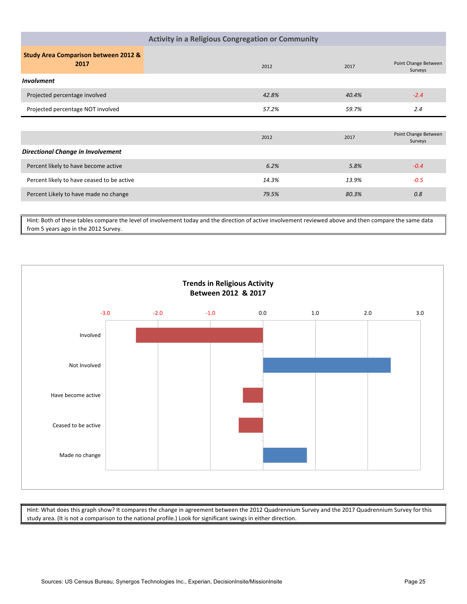| <b>Activity in a Religious Congregation or Community</b> |       |       |                                 |  |  |  |  |  |  |
|----------------------------------------------------------|-------|-------|---------------------------------|--|--|--|--|--|--|
| <b>Study Area Comparison between 2012 &amp;</b><br>2017  | 2012  | 2017  | Point Change Between<br>Surveys |  |  |  |  |  |  |
| <b>Involvment</b>                                        |       |       |                                 |  |  |  |  |  |  |
| Projected percentage involved                            | 42.8% | 40.4% | $-2.4$                          |  |  |  |  |  |  |
| Projected percentage NOT involved                        | 57.2% | 59.7% | 2.4                             |  |  |  |  |  |  |
|                                                          |       |       |                                 |  |  |  |  |  |  |
|                                                          | 2012  | 2017  | Point Change Between<br>Surveys |  |  |  |  |  |  |
| <b>Directional Change in Involvement</b>                 |       |       |                                 |  |  |  |  |  |  |
| Percent likely to have become active                     | 6.2%  | 5.8%  | $-0.4$                          |  |  |  |  |  |  |
| Percent likely to have ceased to be active               | 14.3% | 13.9% | $-0.5$                          |  |  |  |  |  |  |
| Percent Likely to have made no change                    | 79.5% | 80.3% | 0.8                             |  |  |  |  |  |  |
|                                                          |       |       |                                 |  |  |  |  |  |  |

Hint: Both of these tables compare the level of involvement today and the direction of active involvement reviewed above and then compare the same data from 5 years ago in the 2012 Survey.



Hint: What does this graph show? It compares the change in agreement between the 2012 Quadrennium Survey and the 2017 Quadrennium Survey for this study area. (It is not a comparison to the national profile.) Look for significant swings in either direction.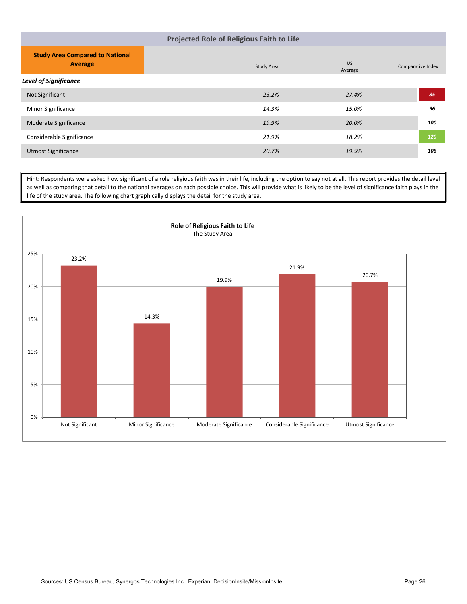| Projected Role of Religious Faith to Life                |            |                      |                   |  |  |
|----------------------------------------------------------|------------|----------------------|-------------------|--|--|
| <b>Study Area Compared to National</b><br><b>Average</b> | Study Area | <b>US</b><br>Average | Comparative Index |  |  |
| <b>Level of Significance</b>                             |            |                      |                   |  |  |
| Not Significant                                          | 23.2%      | 27.4%                | 85                |  |  |
| <b>Minor Significance</b>                                | 14.3%      | 15.0%                | 96                |  |  |
| Moderate Significance                                    | 19.9%      | 20.0%                | 100               |  |  |
| Considerable Significance                                | 21.9%      | 18.2%                | 120               |  |  |
| <b>Utmost Significance</b>                               | 20.7%      | 19.5%                | 106               |  |  |

Hint: Respondents were asked how significant of a role religious faith was in their life, including the option to say not at all. This report provides the detail level as well as comparing that detail to the national averages on each possible choice. This will provide what is likely to be the level of significance faith plays in the life of the study area. The following chart graphically displays the detail for the study area.

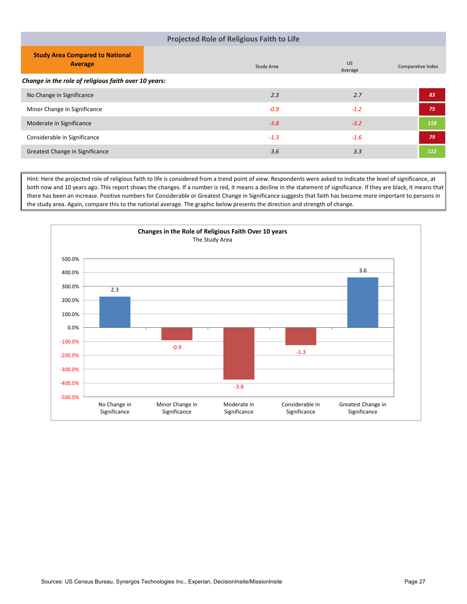| <b>Projected Role of Religious Faith to Life</b>                                                                    |            |  |  |  |  |
|---------------------------------------------------------------------------------------------------------------------|------------|--|--|--|--|
| <b>Study Area Compared to National</b><br><b>US</b><br><b>Average</b><br>Study Area<br>Comparative Index<br>Average |            |  |  |  |  |
| Change in the role of religious faith over 10 years:                                                                |            |  |  |  |  |
| 2.7<br>2.3<br>No Change in Significance                                                                             | 83         |  |  |  |  |
| Minor Change in Significance<br>$-0.9$<br>$-1.2$                                                                    | 75         |  |  |  |  |
| Moderate in Significance<br>$-3.2$<br>$-3.8$                                                                        | 118        |  |  |  |  |
| Considerable in Significance<br>$-1.3$<br>$-1.6$                                                                    | 79         |  |  |  |  |
| 3.3<br>3.6<br>Greatest Change in Significance                                                                       | <b>112</b> |  |  |  |  |

Hint: Here the projected role of religious faith to life is considered from a trend point of view. Respondents were asked to indicate the level of significance, at both now and 10 years ago. This report shows the changes. If a number is red, it means a decline in the statement of significance. If they are black, it means that there has been an increase. Positive numbers for Considerable or Greatest Change in Significance suggests that faith has become more important to persons in the study area. Again, compare this to the national average. The graphic below presents the direction and strength of change.

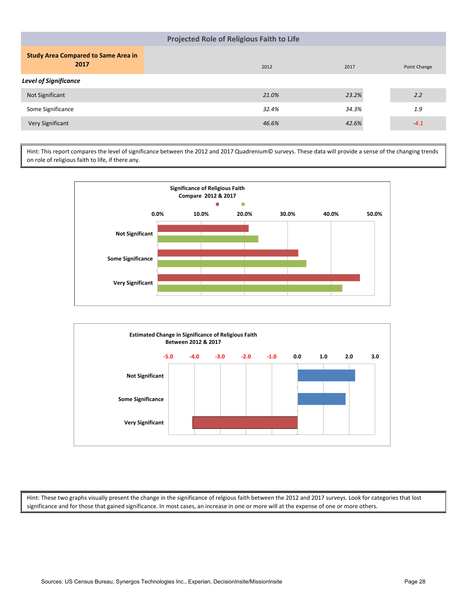| <b>Projected Role of Religious Faith to Life</b>   |       |       |              |  |  |
|----------------------------------------------------|-------|-------|--------------|--|--|
| <b>Study Area Compared to Same Area in</b><br>2017 | 2012  | 2017  | Point Change |  |  |
| <b>Level of Significance</b>                       |       |       |              |  |  |
| Not Significant                                    | 21.0% | 23.2% | 2.2          |  |  |
| Some Significance                                  | 32.4% | 34.3% | 1.9          |  |  |
| Very Significant                                   | 46.6% | 42.6% | $-4.1$       |  |  |

Hint: This report compares the level of significance between the 2012 and 2017 Quadrenium© surveys. These data will provide a sense of the changing trends on role of religious faith to life, if there any.





Hint: These two graphs visually present the change in the significance of relgious faith between the 2012 and 2017 surveys. Look for categories that lost significance and for those that gained significance. In most cases, an increase in one or more will at the expense of one or more others.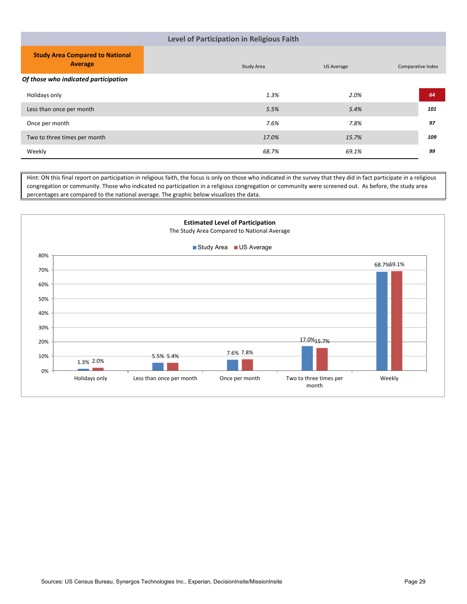#### **Level of Participation in Religious Faith**

| <b>Study Area Compared to National</b><br><b>Average</b> | Study Area | <b>US Average</b> | Comparative Index |  |  |  |
|----------------------------------------------------------|------------|-------------------|-------------------|--|--|--|
| Of those who indicated participation                     |            |                   |                   |  |  |  |
| Holidays only                                            | 1.3%       | 2.0%              | 64                |  |  |  |
| Less than once per month                                 | 5.5%       | 5.4%              | 101               |  |  |  |
| Once per month                                           | 7.6%       | 7.8%              | 97                |  |  |  |
| Two to three times per month                             | 17.0%      | 15.7%             | 109               |  |  |  |
| Weekly                                                   | 68.7%      | 69.1%             | 99                |  |  |  |

Hint: ON this final report on participation in religious faith, the focus is only on those who indicated in the survey that they did in fact participate in a religious congregation or community. Those who indicated no participation in a religious congregation or community were screened out. As before, the study area percentages are compared to the national average. The graphic below visualizes the data.